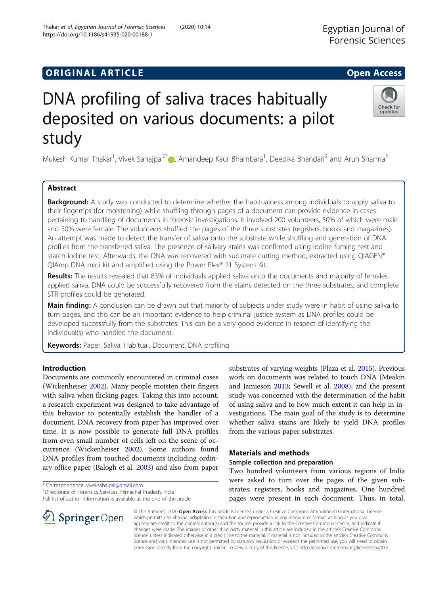# **ORIGINAL ARTICLE CONSERVANCE IN A LOCAL CONSERVANCE IN A LOCAL CONSERVANCE IN A LOCAL CONSERVANCE IN A LOCAL CONS**

# DNA profiling of saliva traces habitually deposited on various documents: a pilot study

Mukesh Kumar Thakar<sup>1</sup>, Vivek Sahajpal<sup>2[\\*](http://orcid.org/0000-0002-1276-3262)</sup>. Amandeep Kaur Bhambara<sup>1</sup>, Deepika Bhandari<sup>2</sup> and Arun Sharma<sup>2</sup>

# Abstract

**Background:** A study was conducted to determine whether the habitualness among individuals to apply saliva to their fingertips (for moistening) while shuffling through pages of a document can provide evidence in cases pertaining to handling of documents in forensic investigations. It involved 200 volunteers, 50% of which were male and 50% were female. The volunteers shuffled the pages of the three substrates (registers, books and magazines). An attempt was made to detect the transfer of saliva onto the substrate while shuffling and generation of DNA profiles from the transferred saliva. The presence of salivary stains was confirmed using iodine fuming test and starch iodine test. Afterwards, the DNA was recovered with substrate cutting method, extracted using QIAGEN® QIAmp DNA mini kit and amplified using the Power Plex® 21 System Kit.

Results: The results revealed that 83% of individuals applied saliva onto the documents and majority of females applied saliva. DNA could be successfully recovered from the stains detected on the three substrates, and complete STR profiles could be generated.

Main finding: A conclusion can be drawn out that majority of subjects under study were in habit of using saliva to turn pages, and this can be an important evidence to help criminal justice system as DNA profiles could be developed successfully from the substrates. This can be a very good evidence in respect of identifying the individual(s) who handled the document.

Keywords: Paper, Saliva, Habitual, Document, DNA profiling

# Introduction

Documents are commonly encountered in criminal cases (Wickenheiser [2002\)](#page-2-0). Many people moisten their fingers with saliva when flicking pages. Taking this into account, a research experiment was designed to take advantage of this behavior to potentially establish the handler of a document. DNA recovery from paper has improved over time. It is now possible to generate full DNA profiles from even small number of cells left on the scene of occurrence (Wickenheiser [2002\)](#page-2-0). Some authors found DNA profiles from touched documents including ordinary office paper (Balogh et al. [2003\)](#page-2-0) and also from paper

\* Correspondence: [viveksahajpal@gmail.com](mailto:viveksahajpal@gmail.com) <sup>2</sup>

Directorate of Forensics Services, Himachal Pradesh, India Full list of author information is available at the end of the article

> © The Author(s). 2020 Open Access This article is licensed under a Creative Commons Attribution 4.0 International License, which permits use, sharing, adaptation, distribution and reproduction in any medium or format, as long as you give appropriate credit to the original author(s) and the source, provide a link to the Creative Commons licence, and indicate if changes were made. The images or other third party material in this article are included in the article's Creative Commons licence, unless indicated otherwise in a credit line to the material. If material is not included in the article's Creative Commons licence and your intended use is not permitted by statutory regulation or exceeds the permitted use, you will need to obtain permission directly from the copyright holder. To view a copy of this licence, visit <http://creativecommons.org/licenses/by/4.0/>.

study was concerned with the determination of the habit of using saliva and to how much extent it can help in investigations. The main goal of the study is to determine whether saliva stains are likely to yield DNA profiles from the various paper substrates.

# Materials and methods

# Sample collection and preparation

Two hundred volunteers from various regions of India were asked to turn over the pages of the given substrates; registers, books and magazines. One hundred pages were present in each document. Thus, in total,

substrates of varying weights (Plaza et al. [2015](#page-2-0)). Previous work on documents was related to touch DNA (Meakin and Jamieson [2013](#page-2-0); Sewell et al. [2008\)](#page-2-0), and the present





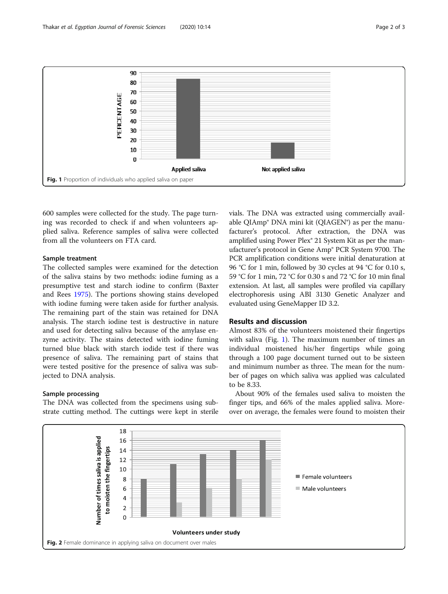<span id="page-1-0"></span>

600 samples were collected for the study. The page turning was recorded to check if and when volunteers applied saliva. Reference samples of saliva were collected from all the volunteers on FTA card.

## Sample treatment

The collected samples were examined for the detection of the saliva stains by two methods: iodine fuming as a presumptive test and starch iodine to confirm (Baxter and Rees [1975\)](#page-2-0). The portions showing stains developed with iodine fuming were taken aside for further analysis. The remaining part of the stain was retained for DNA analysis. The starch iodine test is destructive in nature and used for detecting saliva because of the amylase enzyme activity. The stains detected with iodine fuming turned blue black with starch iodide test if there was presence of saliva. The remaining part of stains that were tested positive for the presence of saliva was subjected to DNA analysis.

# Sample processing

The DNA was collected from the specimens using substrate cutting method. The cuttings were kept in sterile vials. The DNA was extracted using commercially available QIAmp® DNA mini kit (QIAGEN®) as per the manufacturer's protocol. After extraction, the DNA was amplified using Power Plex® 21 System Kit as per the manufacturer's protocol in Gene Amp® PCR System 9700. The PCR amplification conditions were initial denaturation at 96 °C for 1 min, followed by 30 cycles at 94 °C for 0.10 s, 59 °C for 1 min, 72 °C for 0.30 s and 72 °C for 10 min final extension. At last, all samples were profiled via capillary electrophoresis using ABI 3130 Genetic Analyzer and evaluated using GeneMapper ID 3.2.

# Results and discussion

Almost 83% of the volunteers moistened their fingertips with saliva (Fig. 1). The maximum number of times an individual moistened his/her fingertips while going through a 100 page document turned out to be sixteen and minimum number as three. The mean for the number of pages on which saliva was applied was calculated to be 8.33.

About 90% of the females used saliva to moisten the finger tips, and 66% of the males applied saliva. Moreover on average, the females were found to moisten their